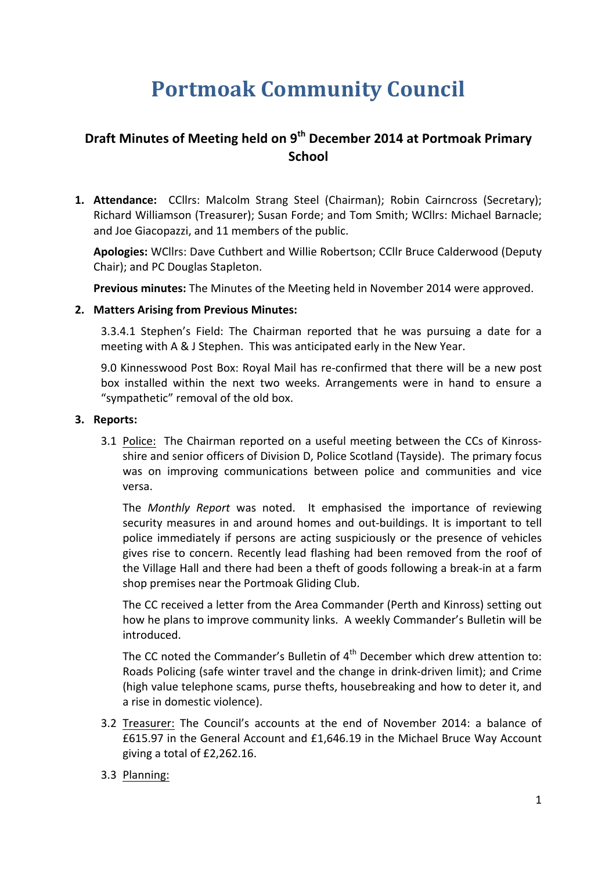# **Portmoak Community Council**

# **Draft Minutes of Meeting held on 9<sup>th</sup> December 2014 at Portmoak Primary School**

**1. Attendance:** CCllrs: Malcolm Strang Steel (Chairman); Robin Cairncross (Secretary); Richard Williamson (Treasurer); Susan Forde; and Tom Smith; WCllrs: Michael Barnacle; and Joe Giacopazzi, and 11 members of the public.

Apologies: WCllrs: Dave Cuthbert and Willie Robertson; CCllr Bruce Calderwood (Deputy Chair); and PC Douglas Stapleton.

**Previous minutes:** The Minutes of the Meeting held in November 2014 were approved.

#### **2. Matters Arising from Previous Minutes:**

3.3.4.1 Stephen's Field: The Chairman reported that he was pursuing a date for a meeting with A & J Stephen. This was anticipated early in the New Year.

9.0 Kinnesswood Post Box: Royal Mail has re-confirmed that there will be a new post box installed within the next two weeks. Arrangements were in hand to ensure a "sympathetic" removal of the old box.

#### **3.** Reports:

3.1 Police: The Chairman reported on a useful meeting between the CCs of Kinrossshire and senior officers of Division D, Police Scotland (Tayside). The primary focus was on improving communications between police and communities and vice versa.

The *Monthly Report* was noted. It emphasised the importance of reviewing security measures in and around homes and out-buildings. It is important to tell police immediately if persons are acting suspiciously or the presence of vehicles gives rise to concern. Recently lead flashing had been removed from the roof of the Village Hall and there had been a theft of goods following a break-in at a farm shop premises near the Portmoak Gliding Club.

The CC received a letter from the Area Commander (Perth and Kinross) setting out how he plans to improve community links. A weekly Commander's Bulletin will be introduced. 

The CC noted the Commander's Bulletin of  $4<sup>th</sup>$  December which drew attention to: Roads Policing (safe winter travel and the change in drink-driven limit); and Crime (high value telephone scams, purse thefts, housebreaking and how to deter it, and a rise in domestic violence).

- 3.2 Treasurer: The Council's accounts at the end of November 2014: a balance of £615.97 in the General Account and £1,646.19 in the Michael Bruce Way Account giving a total of  $£2,262.16$ .
- 3.3 Planning: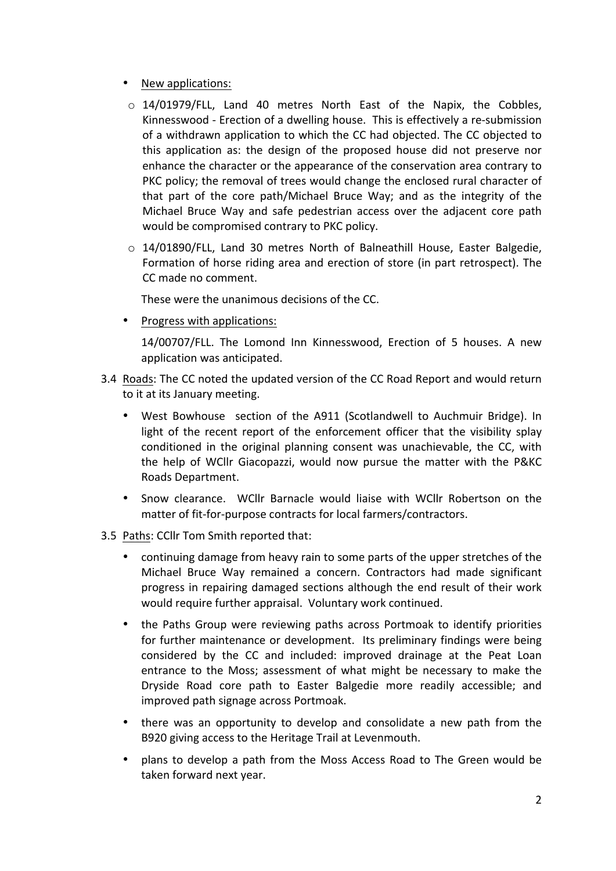- New applications:
- o 14/01979/FLL, Land 40 metres North East of the Napix, the Cobbles, Kinnesswood - Erection of a dwelling house. This is effectively a re-submission of a withdrawn application to which the CC had objected. The CC objected to this application as: the design of the proposed house did not preserve nor enhance the character or the appearance of the conservation area contrary to PKC policy; the removal of trees would change the enclosed rural character of that part of the core path/Michael Bruce Way; and as the integrity of the Michael Bruce Way and safe pedestrian access over the adjacent core path would be compromised contrary to PKC policy.
- $\circ$  14/01890/FLL, Land 30 metres North of Balneathill House, Easter Balgedie, Formation of horse riding area and erection of store (in part retrospect). The CC made no comment.

These were the unanimous decisions of the CC.

• Progress with applications:

14/00707/FLL. The Lomond Inn Kinnesswood, Erection of 5 houses. A new application was anticipated.

- 3.4 Roads: The CC noted the updated version of the CC Road Report and would return to it at its January meeting.
	- West Bowhouse section of the A911 (Scotlandwell to Auchmuir Bridge). In light of the recent report of the enforcement officer that the visibility splay conditioned in the original planning consent was unachievable, the CC, with the help of WCllr Giacopazzi, would now pursue the matter with the P&KC Roads Department.
	- Snow clearance. WCllr Barnacle would liaise with WCllr Robertson on the matter of fit-for-purpose contracts for local farmers/contractors.
- 3.5 Paths: CCIIr Tom Smith reported that:
	- continuing damage from heavy rain to some parts of the upper stretches of the Michael Bruce Way remained a concern. Contractors had made significant progress in repairing damaged sections although the end result of their work would require further appraisal. Voluntary work continued.
	- the Paths Group were reviewing paths across Portmoak to identify priorities for further maintenance or development. Its preliminary findings were being considered by the CC and included: improved drainage at the Peat Loan entrance to the Moss; assessment of what might be necessary to make the Dryside Road core path to Easter Balgedie more readily accessible; and improved path signage across Portmoak.
	- there was an opportunity to develop and consolidate a new path from the B920 giving access to the Heritage Trail at Levenmouth.
	- plans to develop a path from the Moss Access Road to The Green would be taken forward next year.